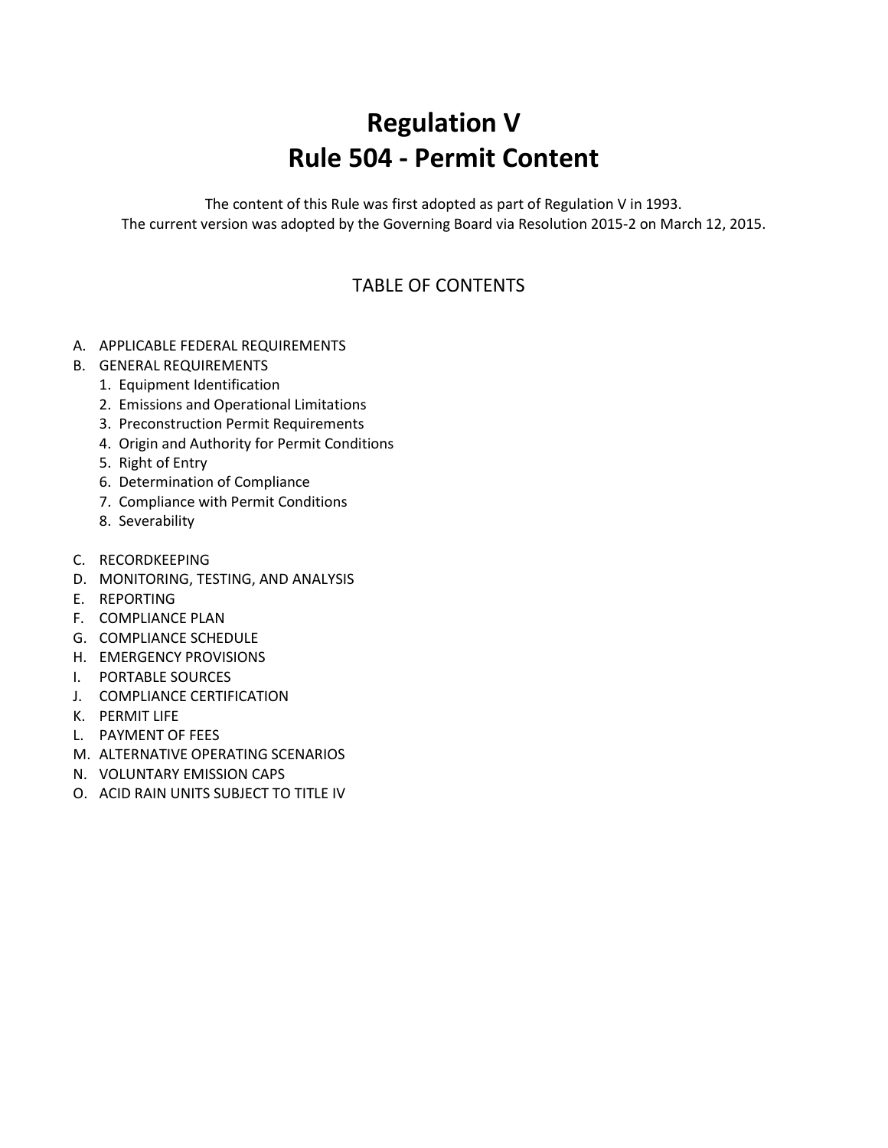## **Regulation V Rule 504 - Permit Content**

The content of this Rule was first adopted as part of Regulation V in 1993. The current version was adopted by the Governing Board via Resolution 2015-2 on March 12, 2015.

## TABLE OF CONTENTS

- A. APPLICABLE FEDERAL REQUIREMENTS
- B. GENERAL REQUIREMENTS
	- 1. Equipment Identification
	- 2. Emissions and Operational Limitations
	- 3. Preconstruction Permit Requirements
	- 4. Origin and Authority for Permit Conditions
	- 5. Right of Entry
	- 6. Determination of Compliance
	- 7. Compliance with Permit Conditions
	- 8. Severability
- C. RECORDKEEPING
- D. MONITORING, TESTING, AND ANALYSIS
- E. REPORTING
- F. COMPLIANCE PLAN
- G. COMPLIANCE SCHEDULE
- H. EMERGENCY PROVISIONS
- I. PORTABLE SOURCES
- J. COMPLIANCE CERTIFICATION
- K. PERMIT LIFE
- L. PAYMENT OF FEES
- M. ALTERNATIVE OPERATING SCENARIOS
- N. VOLUNTARY EMISSION CAPS
- O. ACID RAIN UNITS SUBJECT TO TITLE IV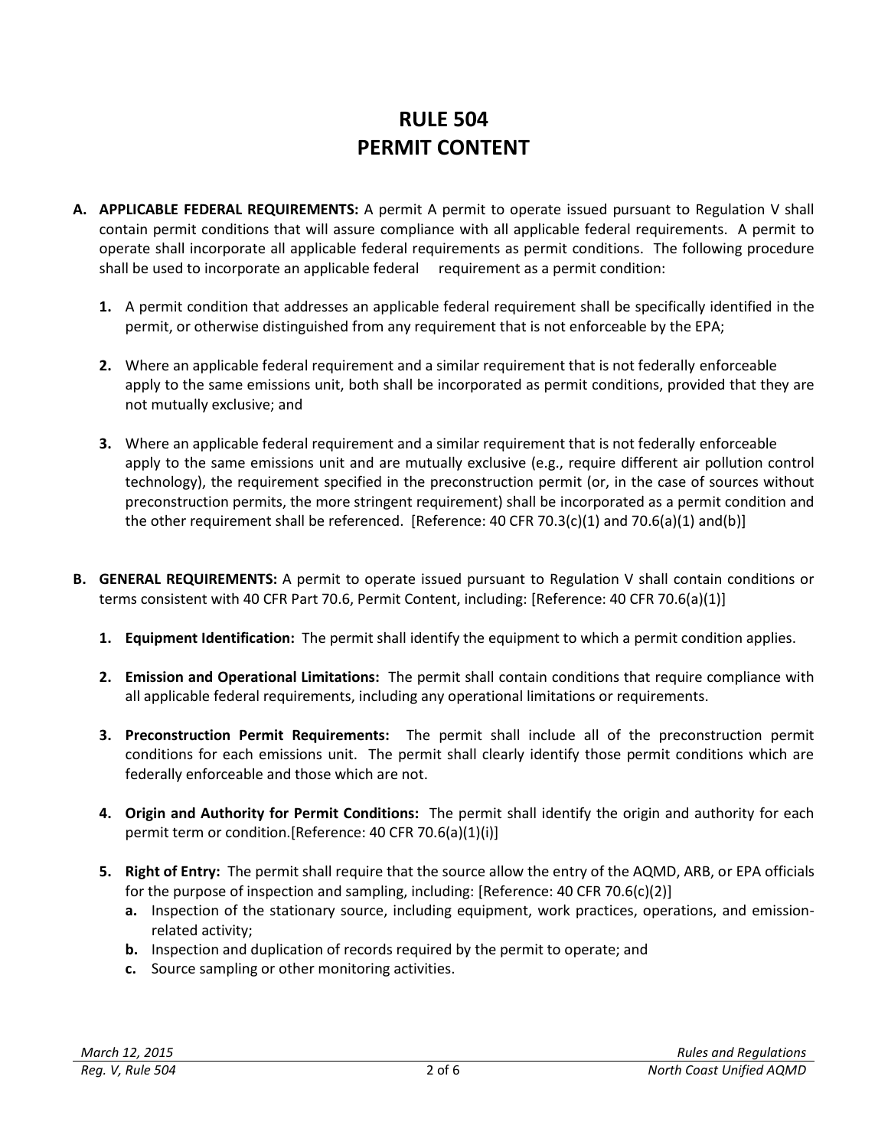## **RULE 504 PERMIT CONTENT**

- **A. APPLICABLE FEDERAL REQUIREMENTS:** A permit A permit to operate issued pursuant to Regulation V shall contain permit conditions that will assure compliance with all applicable federal requirements. A permit to operate shall incorporate all applicable federal requirements as permit conditions. The following procedure shall be used to incorporate an applicable federal requirement as a permit condition:
	- **1.** A permit condition that addresses an applicable federal requirement shall be specifically identified in the permit, or otherwise distinguished from any requirement that is not enforceable by the EPA;
	- **2.** Where an applicable federal requirement and a similar requirement that is not federally enforceable apply to the same emissions unit, both shall be incorporated as permit conditions, provided that they are not mutually exclusive; and
	- **3.** Where an applicable federal requirement and a similar requirement that is not federally enforceable apply to the same emissions unit and are mutually exclusive (e.g., require different air pollution control technology), the requirement specified in the preconstruction permit (or, in the case of sources without preconstruction permits, the more stringent requirement) shall be incorporated as a permit condition and the other requirement shall be referenced. [Reference: 40 CFR 70.3(c)(1) and 70.6(a)(1) and(b)]
- **B. GENERAL REQUIREMENTS:** A permit to operate issued pursuant to Regulation V shall contain conditions or terms consistent with 40 CFR Part 70.6, Permit Content, including: [Reference: 40 CFR 70.6(a)(1)]
	- **1. Equipment Identification:** The permit shall identify the equipment to which a permit condition applies.
	- **2. Emission and Operational Limitations:** The permit shall contain conditions that require compliance with all applicable federal requirements, including any operational limitations or requirements.
	- **3. Preconstruction Permit Requirements:** The permit shall include all of the preconstruction permit conditions for each emissions unit. The permit shall clearly identify those permit conditions which are federally enforceable and those which are not.
	- **4. Origin and Authority for Permit Conditions:** The permit shall identify the origin and authority for each permit term or condition.[Reference: 40 CFR 70.6(a)(1)(i)]
	- **5. Right of Entry:** The permit shall require that the source allow the entry of the AQMD, ARB, or EPA officials for the purpose of inspection and sampling, including: [Reference: 40 CFR 70.6(c)(2)]
		- **a.** Inspection of the stationary source, including equipment, work practices, operations, and emissionrelated activity;
		- **b.** Inspection and duplication of records required by the permit to operate; and
		- **c.** Source sampling or other monitoring activities.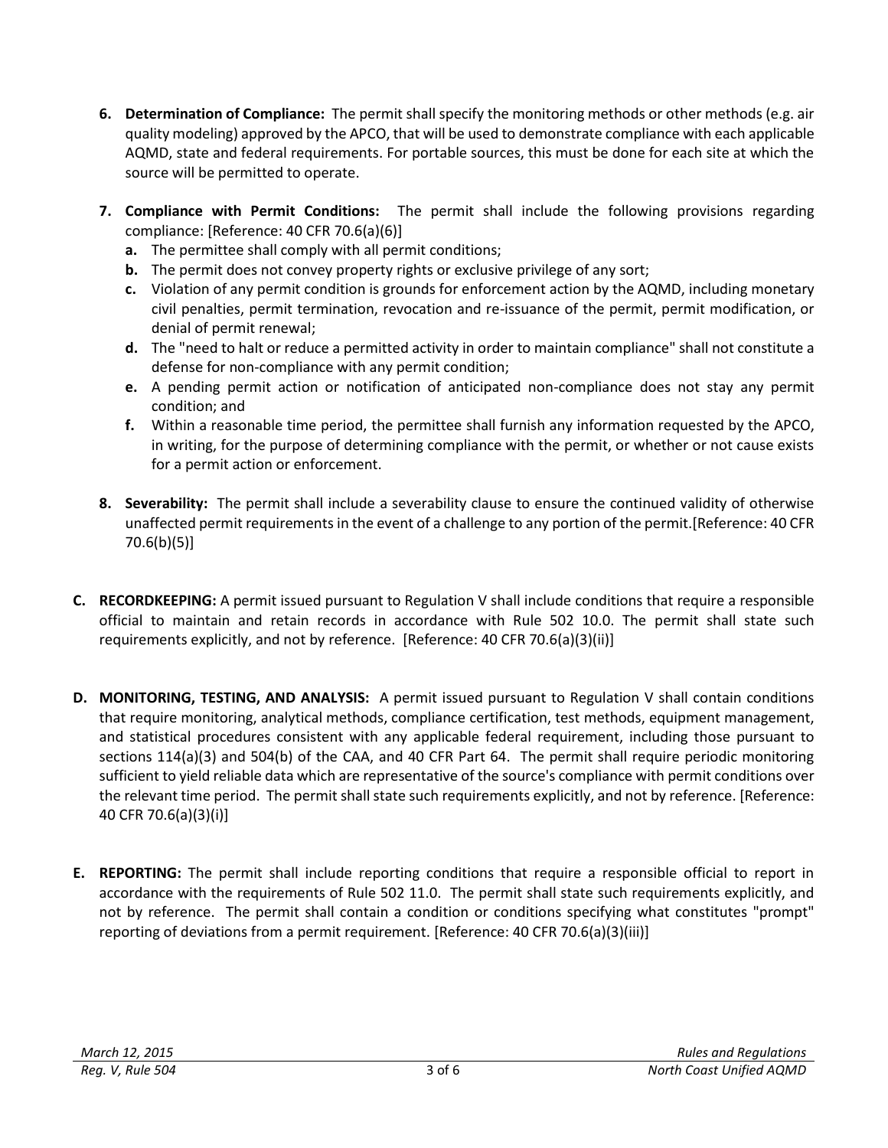- **6. Determination of Compliance:** The permit shall specify the monitoring methods or other methods (e.g. air quality modeling) approved by the APCO, that will be used to demonstrate compliance with each applicable AQMD, state and federal requirements. For portable sources, this must be done for each site at which the source will be permitted to operate.
- **7. Compliance with Permit Conditions:** The permit shall include the following provisions regarding compliance: [Reference: 40 CFR 70.6(a)(6)]
	- **a.** The permittee shall comply with all permit conditions;
	- **b.** The permit does not convey property rights or exclusive privilege of any sort;
	- **c.** Violation of any permit condition is grounds for enforcement action by the AQMD, including monetary civil penalties, permit termination, revocation and re-issuance of the permit, permit modification, or denial of permit renewal;
	- **d.** The "need to halt or reduce a permitted activity in order to maintain compliance" shall not constitute a defense for non-compliance with any permit condition;
	- **e.** A pending permit action or notification of anticipated non-compliance does not stay any permit condition; and
	- **f.** Within a reasonable time period, the permittee shall furnish any information requested by the APCO, in writing, for the purpose of determining compliance with the permit, or whether or not cause exists for a permit action or enforcement.
- **8. Severability:** The permit shall include a severability clause to ensure the continued validity of otherwise unaffected permit requirements in the event of a challenge to any portion of the permit.[Reference: 40 CFR 70.6(b)(5)]
- **C. RECORDKEEPING:** A permit issued pursuant to Regulation V shall include conditions that require a responsible official to maintain and retain records in accordance with Rule 502 10.0. The permit shall state such requirements explicitly, and not by reference. [Reference: 40 CFR 70.6(a)(3)(ii)]
- **D. MONITORING, TESTING, AND ANALYSIS:** A permit issued pursuant to Regulation V shall contain conditions that require monitoring, analytical methods, compliance certification, test methods, equipment management, and statistical procedures consistent with any applicable federal requirement, including those pursuant to sections 114(a)(3) and 504(b) of the CAA, and 40 CFR Part 64. The permit shall require periodic monitoring sufficient to yield reliable data which are representative of the source's compliance with permit conditions over the relevant time period. The permit shall state such requirements explicitly, and not by reference. [Reference: 40 CFR 70.6(a)(3)(i)]
- **E. REPORTING:** The permit shall include reporting conditions that require a responsible official to report in accordance with the requirements of Rule 502 11.0. The permit shall state such requirements explicitly, and not by reference. The permit shall contain a condition or conditions specifying what constitutes "prompt" reporting of deviations from a permit requirement. [Reference: 40 CFR 70.6(a)(3)(iii)]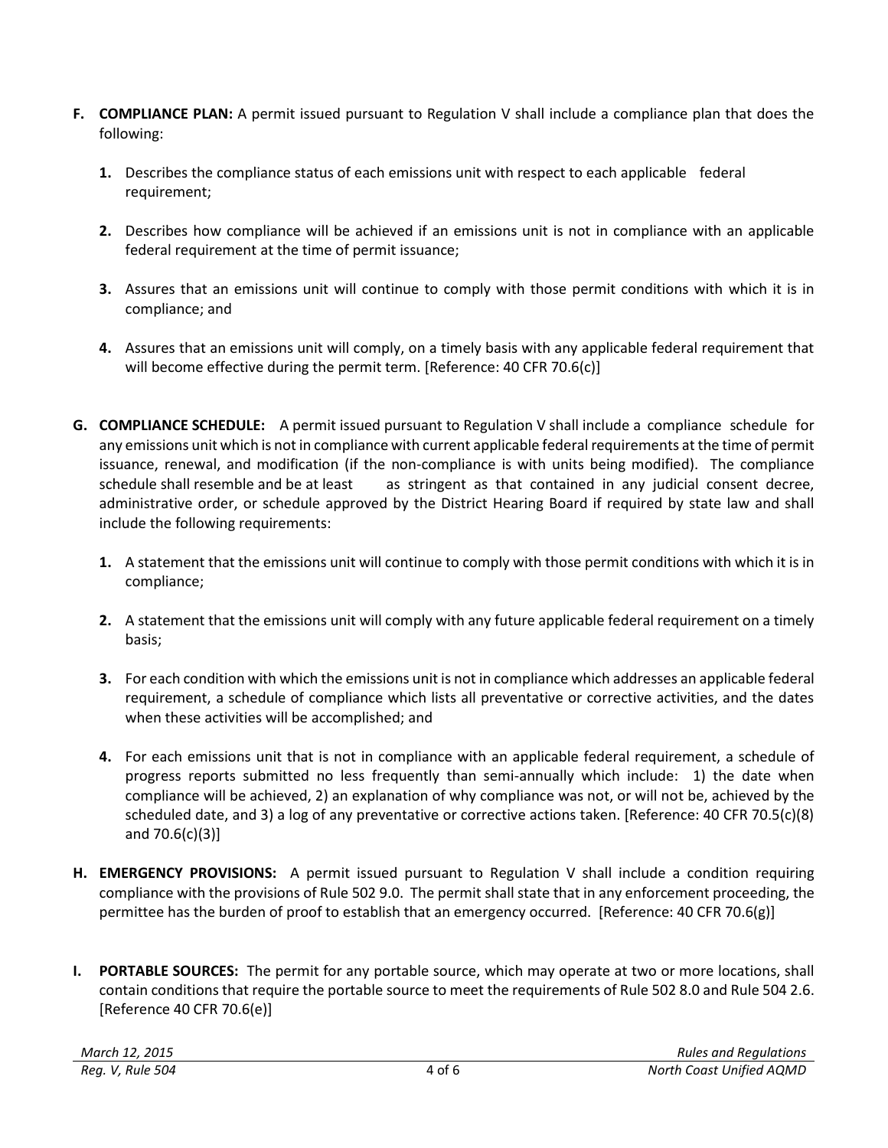- **F. COMPLIANCE PLAN:** A permit issued pursuant to Regulation V shall include a compliance plan that does the following:
	- **1.** Describes the compliance status of each emissions unit with respect to each applicable federal requirement;
	- **2.** Describes how compliance will be achieved if an emissions unit is not in compliance with an applicable federal requirement at the time of permit issuance;
	- **3.** Assures that an emissions unit will continue to comply with those permit conditions with which it is in compliance; and
	- **4.** Assures that an emissions unit will comply, on a timely basis with any applicable federal requirement that will become effective during the permit term. [Reference: 40 CFR 70.6(c)]
- **G. COMPLIANCE SCHEDULE:** A permit issued pursuant to Regulation V shall include a compliance schedule for any emissions unit which is not in compliance with current applicable federal requirements at the time of permit issuance, renewal, and modification (if the non-compliance is with units being modified). The compliance schedule shall resemble and be at least as stringent as that contained in any judicial consent decree, administrative order, or schedule approved by the District Hearing Board if required by state law and shall include the following requirements:
	- **1.** A statement that the emissions unit will continue to comply with those permit conditions with which it is in compliance;
	- **2.** A statement that the emissions unit will comply with any future applicable federal requirement on a timely basis;
	- **3.** For each condition with which the emissions unit is not in compliance which addresses an applicable federal requirement, a schedule of compliance which lists all preventative or corrective activities, and the dates when these activities will be accomplished; and
	- **4.** For each emissions unit that is not in compliance with an applicable federal requirement, a schedule of progress reports submitted no less frequently than semi-annually which include: 1) the date when compliance will be achieved, 2) an explanation of why compliance was not, or will not be, achieved by the scheduled date, and 3) a log of any preventative or corrective actions taken. [Reference: 40 CFR 70.5(c)(8) and 70.6(c)(3)]
- **H. EMERGENCY PROVISIONS:** A permit issued pursuant to Regulation V shall include a condition requiring compliance with the provisions of Rule 502 9.0. The permit shall state that in any enforcement proceeding, the permittee has the burden of proof to establish that an emergency occurred. [Reference: 40 CFR 70.6(g)]
- **I. PORTABLE SOURCES:** The permit for any portable source, which may operate at two or more locations, shall contain conditions that require the portable source to meet the requirements of Rule 502 8.0 and Rule 504 2.6. [Reference 40 CFR 70.6(e)]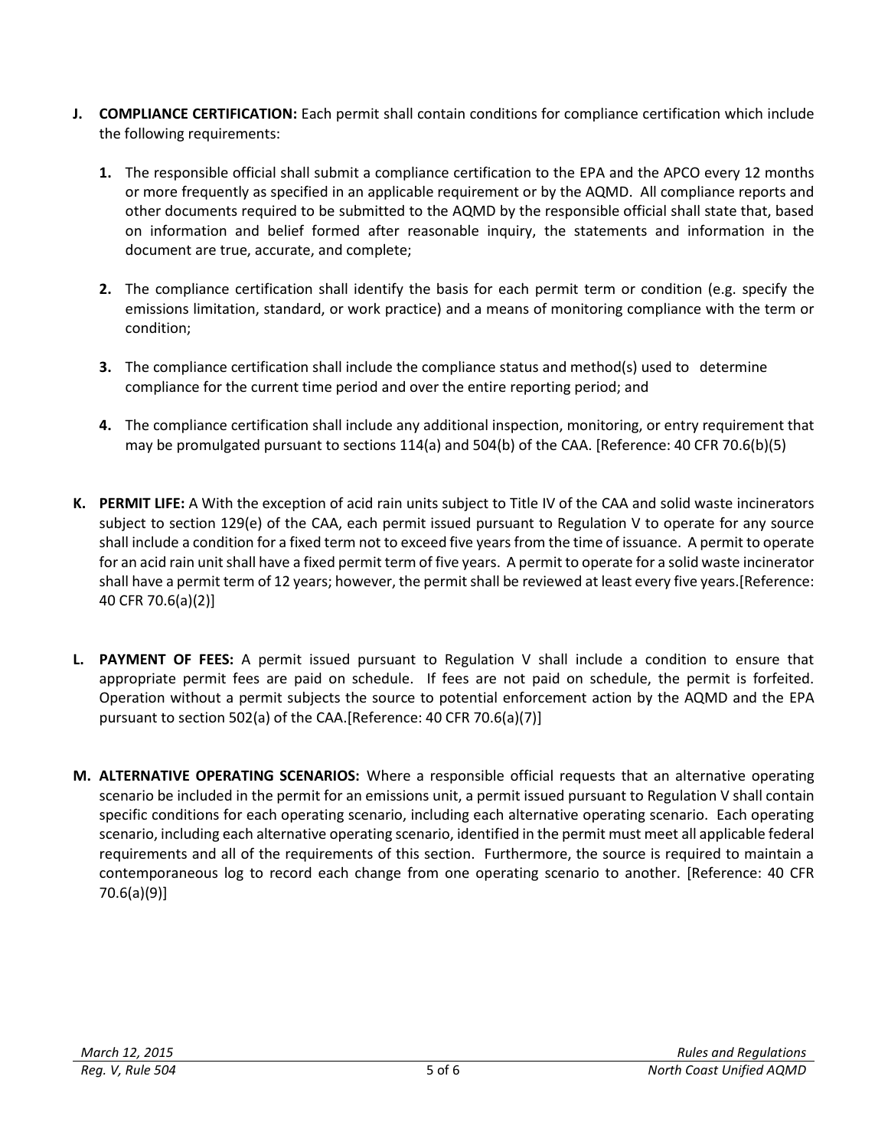- **J. COMPLIANCE CERTIFICATION:** Each permit shall contain conditions for compliance certification which include the following requirements:
	- **1.** The responsible official shall submit a compliance certification to the EPA and the APCO every 12 months or more frequently as specified in an applicable requirement or by the AQMD. All compliance reports and other documents required to be submitted to the AQMD by the responsible official shall state that, based on information and belief formed after reasonable inquiry, the statements and information in the document are true, accurate, and complete;
	- **2.** The compliance certification shall identify the basis for each permit term or condition (e.g. specify the emissions limitation, standard, or work practice) and a means of monitoring compliance with the term or condition;
	- **3.** The compliance certification shall include the compliance status and method(s) used to determine compliance for the current time period and over the entire reporting period; and
	- **4.** The compliance certification shall include any additional inspection, monitoring, or entry requirement that may be promulgated pursuant to sections 114(a) and 504(b) of the CAA. [Reference: 40 CFR 70.6(b)(5)
- **K. PERMIT LIFE:** A With the exception of acid rain units subject to Title IV of the CAA and solid waste incinerators subject to section 129(e) of the CAA, each permit issued pursuant to Regulation V to operate for any source shall include a condition for a fixed term not to exceed five years from the time of issuance. A permit to operate for an acid rain unit shall have a fixed permit term of five years. A permit to operate for a solid waste incinerator shall have a permit term of 12 years; however, the permit shall be reviewed at least every five years.[Reference: 40 CFR 70.6(a)(2)]
- **L. PAYMENT OF FEES:** A permit issued pursuant to Regulation V shall include a condition to ensure that appropriate permit fees are paid on schedule. If fees are not paid on schedule, the permit is forfeited. Operation without a permit subjects the source to potential enforcement action by the AQMD and the EPA pursuant to section 502(a) of the CAA.[Reference: 40 CFR 70.6(a)(7)]
- **M. ALTERNATIVE OPERATING SCENARIOS:** Where a responsible official requests that an alternative operating scenario be included in the permit for an emissions unit, a permit issued pursuant to Regulation V shall contain specific conditions for each operating scenario, including each alternative operating scenario. Each operating scenario, including each alternative operating scenario, identified in the permit must meet all applicable federal requirements and all of the requirements of this section. Furthermore, the source is required to maintain a contemporaneous log to record each change from one operating scenario to another. [Reference: 40 CFR 70.6(a)(9)]